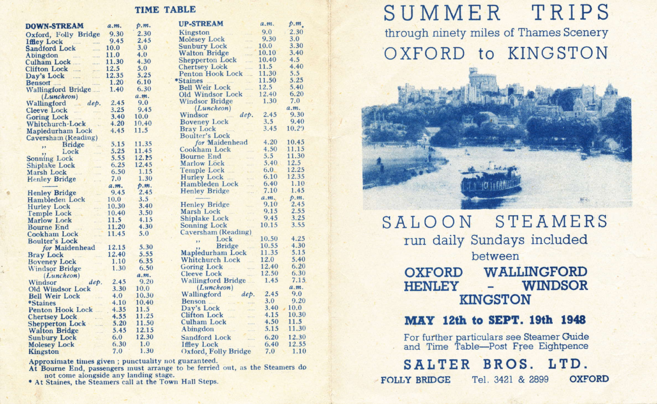#### **TIME TABLE**

| <b>DOWN-STREAM</b>                                                                                         | a.m.      | p.m.  | <b>UP-STREAM</b>                                                                                                 | a.m.  | p.m.         |
|------------------------------------------------------------------------------------------------------------|-----------|-------|------------------------------------------------------------------------------------------------------------------|-------|--------------|
| Oxford, Folly Bridge 9.30                                                                                  |           | 2.30  | 9.0<br>Kingston                                                                                                  |       | 2.30         |
| ( <i>ffley Lock</i> 9.45<br>Sandford Lock 10.0<br>Abingdon 11.0<br>Cultan Lock 11.30<br>Clifton Lock 11.30 |           | 2.45  | Molesey Lock<br>Sunbury Lock<br>Walton Bridge<br>$\cdots$                                                        | 9.30  | 3.0          |
|                                                                                                            |           | 3.0   | aller .                                                                                                          | 10.0  | 3.30         |
|                                                                                                            |           | 4.0   | $\sim$                                                                                                           | 10.10 | 3.40         |
|                                                                                                            |           | 4.30  | Shepperton Lock                                                                                                  | 10.40 | 4.5          |
| Clifton Lock                                                                                               | 12.5      | 5.0   | $\sim$ $\sim$<br><b>Chertsey Lock</b>                                                                            | 11.5  | 4.40         |
| Day's Lock  12.35                                                                                          |           | 5.25  | Penton Hook Lock                                                                                                 | 11.30 | 5.5          |
|                                                                                                            |           | 6.10  | *Staines<br>and and the                                                                                          | 11.50 | 5.25         |
| Benson 1.20<br>Wallingford Bridge 1.40                                                                     |           | 6.30  | Bell Weir Lock 12.5                                                                                              |       | 5.40         |
| $(L$ <i>uncheon</i> $)$                                                                                    |           | a.m.  | Old Windsor Lock                                                                                                 | 12.40 | 6.20         |
| Wallingford  dep. 2.45                                                                                     |           | 9.0   | Windsor Bridge 1.30                                                                                              |       | 7.0          |
|                                                                                                            |           | 9.45  | (Luncheon)                                                                                                       |       | a.m.         |
| Cleeve Lock 3.25<br>Goring Lock 3.40                                                                       |           | 10.0  | Windsor<br>Boveney Lock at 3.5<br>Bray Lock 3.45                                                                 |       | 9.30         |
| Whitchurch-Lock                                                                                            | 4.20      | 10.40 |                                                                                                                  |       | 9.40         |
| Mapledurham Lock                                                                                           | 4.45      | 11.5  | Bray Lock                                                                                                        | 3.45  | 10.29        |
| Caversham (Reading)                                                                                        |           |       | <b>Boulter's Lock</b>                                                                                            |       |              |
| " Bridge                                                                                                   | 5.15      | 11.35 | for Maidenhead                                                                                                   | 4.20  | 10.45        |
| $\begin{array}{c} \begin{array}{c} \hline \end{array} \\ \hline \end{array}$                               | 5.25      | 11.45 | $\frac{1}{2}$<br>Cookham Lock                                                                                    | 4.50  | 11.15        |
| Sonning Lock<br>Sonning Lock                                                                               | 5.55      | 12.15 | Bourne End                                                                                                       | 5.5   | 11.30        |
|                                                                                                            | 6.25      | 12.45 | Marlow Lock                                                                                                      | 5.40  | 12.5         |
| Marsh Lock                                                                                                 | 6.50      | 1.15  | Temple Lock                                                                                                      | 6.0   | 12.25        |
| Henley Bridge                                                                                              | 7.0       | 1.30  |                                                                                                                  | 6.10  | 12.35        |
| a.                                                                                                         | a.m.      | p.m.  | Hambleden Lock<br>$\frac{1}{2} \left( \frac{1}{2} \right) \left( \frac{1}{2} \right) \left( \frac{1}{2} \right)$ | 6.40  | 1.10         |
| Henley Bridge 9.45                                                                                         |           | 2.45  | Henley Bridge<br>$\ldots$                                                                                        | 7.10  | 1.45         |
| Hambleden Lock                                                                                             | 10.0      | 3.5   |                                                                                                                  | a.m.  | p.m.         |
|                                                                                                            | 10.30     | 3.40  | Henley Bridge 9.10<br>Marsh Lock 9.15                                                                            |       | 2.45         |
| Hurley Lock<br>Temple Lock<br>Marken Lock                                                                  | 10.40     | 3.50  |                                                                                                                  |       | 2.55         |
| Marlow Lock 11.5                                                                                           |           | 4.15  | Shiplake Lock 9.45<br>Sonning Lock 10.15                                                                         | 9.45  | 3.25         |
|                                                                                                            |           | 4.30  |                                                                                                                  |       | 3.55         |
| Bourne End<br>Cookham Lock 11.45                                                                           |           | 5.0   |                                                                                                                  |       |              |
| <b>Boulter's Lock</b>                                                                                      |           |       | Caversham (Reading)<br>Look 10.50                                                                                |       | 4.25         |
| <b>SEARCH STATE:</b><br><b>Supervisod for Maidenhead</b> 12.15                                             |           | 5.30  | <b>Bridge 10.55</b>                                                                                              |       | 4.30         |
|                                                                                                            |           | 5.55  | Mapledurham Lock 11.35                                                                                           |       | 5.15         |
| Bray Lock 12.40<br>Boveney Lock 1.10                                                                       |           | 6.35  | Whitehurch Lock 12.0                                                                                             |       | 5.40         |
| Windsor Bridge 1.30                                                                                        |           | 6.50  |                                                                                                                  |       | 6.20         |
| (Luncheon)                                                                                                 |           | a.m.  | Goring Lock 12.40<br>Cleeve Lock 12.50                                                                           |       | 6.30         |
| Windsor                                                                                                    | dep. 2.45 | 9.20  | Wallingford Bridge 1.45                                                                                          |       | 7.15         |
| Old Windsor Lock                                                                                           | 3.30      | 10.0  | (Luncheon)                                                                                                       |       | a.m.         |
| Bell Weir Lock                                                                                             | 4.0       | 10.30 | Wallingford dep. 2.45                                                                                            |       | 9.0          |
| <i>*Staines</i>                                                                                            | 4.10      | 10.40 |                                                                                                                  | 3.0   | 9.20         |
| Penton Hook Lock 4.35                                                                                      |           | 11.5  | Day's Lock<br>Clifton Lock                                                                                       | 3.40  | 10.0         |
| <b>Chertsey Lock</b>                                                                                       | 4.55      | 11.25 |                                                                                                                  | 4.15  | 10.30        |
| Shepperton Lock 5.20                                                                                       |           | 11.50 |                                                                                                                  | 4.50  | 11.5         |
| <b>Walton Bridge</b><br>$\ldots \ldots \ldots$                                                             | 5.45      | 12.15 | Abingdon                                                                                                         | 5.15  | 11.30        |
| $\mathcal{R}_{\text{max}}$<br><b>Sunbury Lock</b>                                                          | 6.0       | 12.30 |                                                                                                                  | 6.20  | 12.30        |
| Sunbury Lock<br>Molesey Lock -                                                                             | 6.30      | 1.0   | Sandford Lock<br>Iffley Lock                                                                                     | 6.40  | 12.55        |
| Kingston                                                                                                   | 7.0       | 1.30  | Oxford, Folly Bridge                                                                                             |       | $7.0 \t1.10$ |
|                                                                                                            |           |       |                                                                                                                  |       |              |

Approximate times given; punctuality not guaranteed.<br>At Bourne End, passengers must arrange to be ferried out, as the Steamers do<br>not come alongside any landing stage.

\* At Staines, the Steamers call at the Town Hall Steps.

# SUMMER TRIPS

through ninety miles of Thames Scenery OXFORD to KINGSTON



#### SALOON STEAMERS run daily Sundays included between **OXFORD** WALLINGFORD - WINDSOR **HENLEY**

## **KINGSTON**

### **MAY 12th to SEPT. 19th 1948**

For further particulars see Steamer Guide<br>and Time Table—Post Free Eightpence

SALTER BROS. LTD. **FOLLY BRIDGE** Tel. 3421 & 2899 **OXFORD**